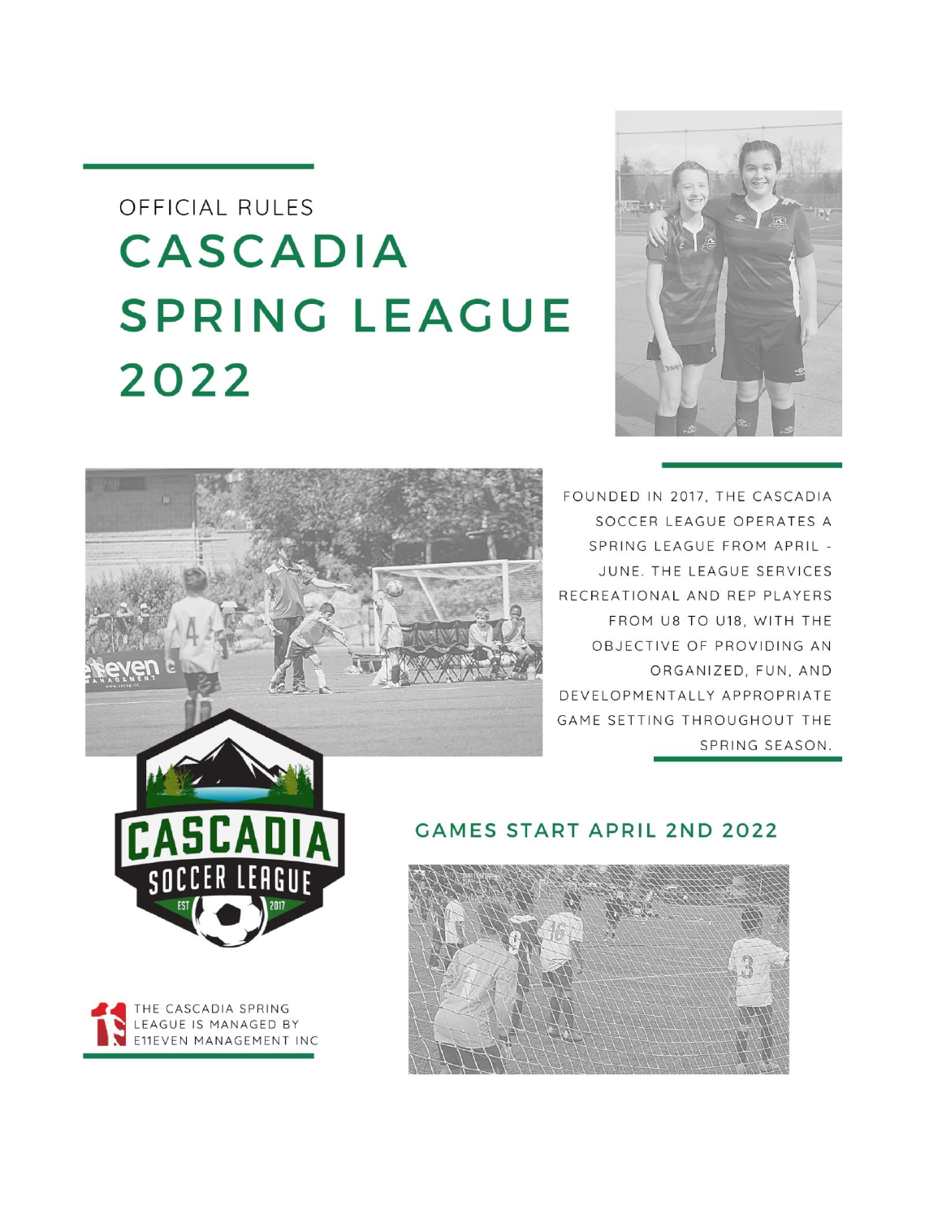# OFFICIAL RULES **CASCADIA SPRING LEAGUE** 2022





FOUNDED IN 2017, THE CASCADIA SOCCER LEAGUE OPERATES A SPRING LEAGUE FROM APRIL -JUNE. THE LEAGUE SERVICES RECREATIONAL AND REP PLAYERS FROM U8 TO U18, WITH THE OBJECTIVE OF PROVIDING AN ORGANIZED, FUN, AND DEVELOPMENTALLY APPROPRIATE GAME SETTING THROUGHOUT THE SPRING SEASON.





## **GAMES START APRIL 2ND 2022**

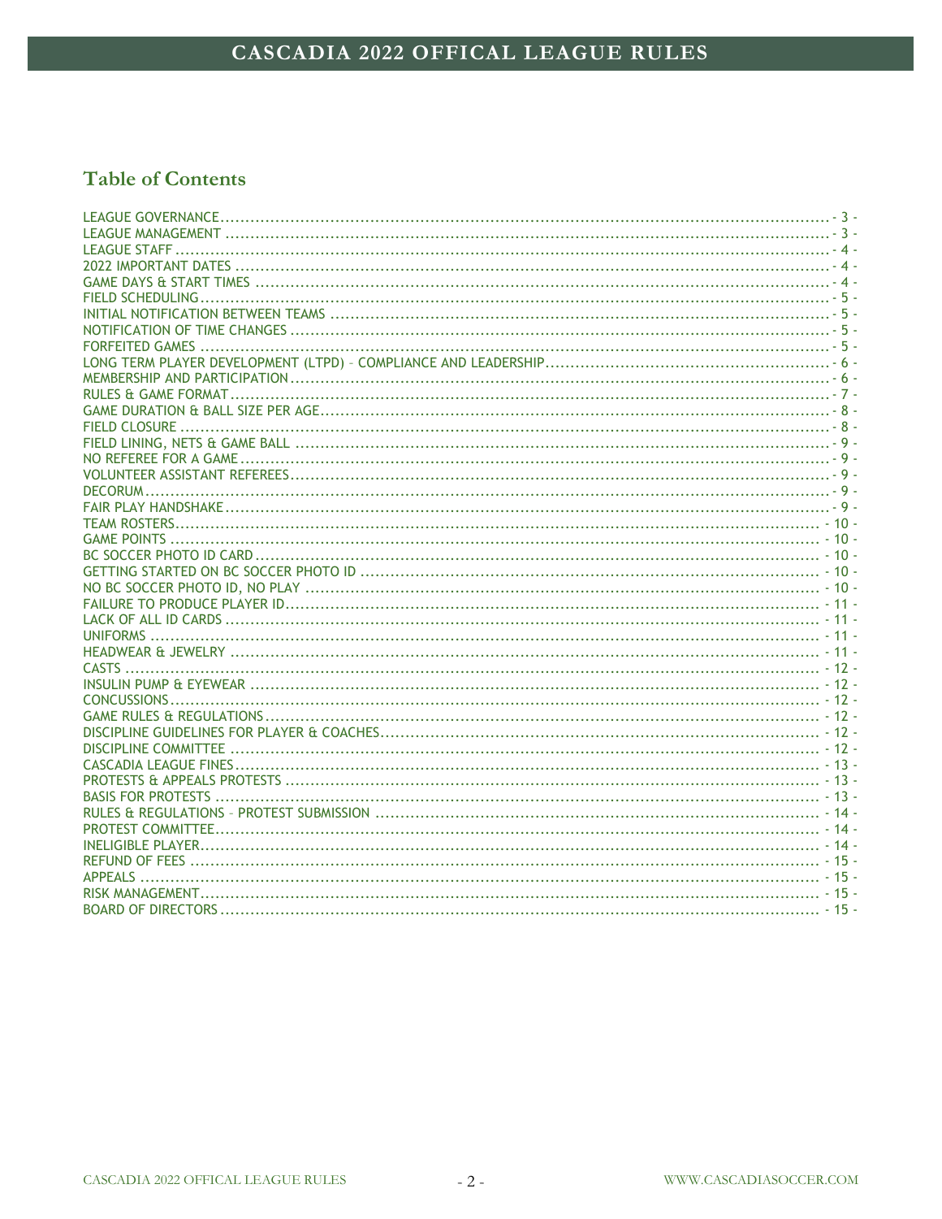# **Table of Contents**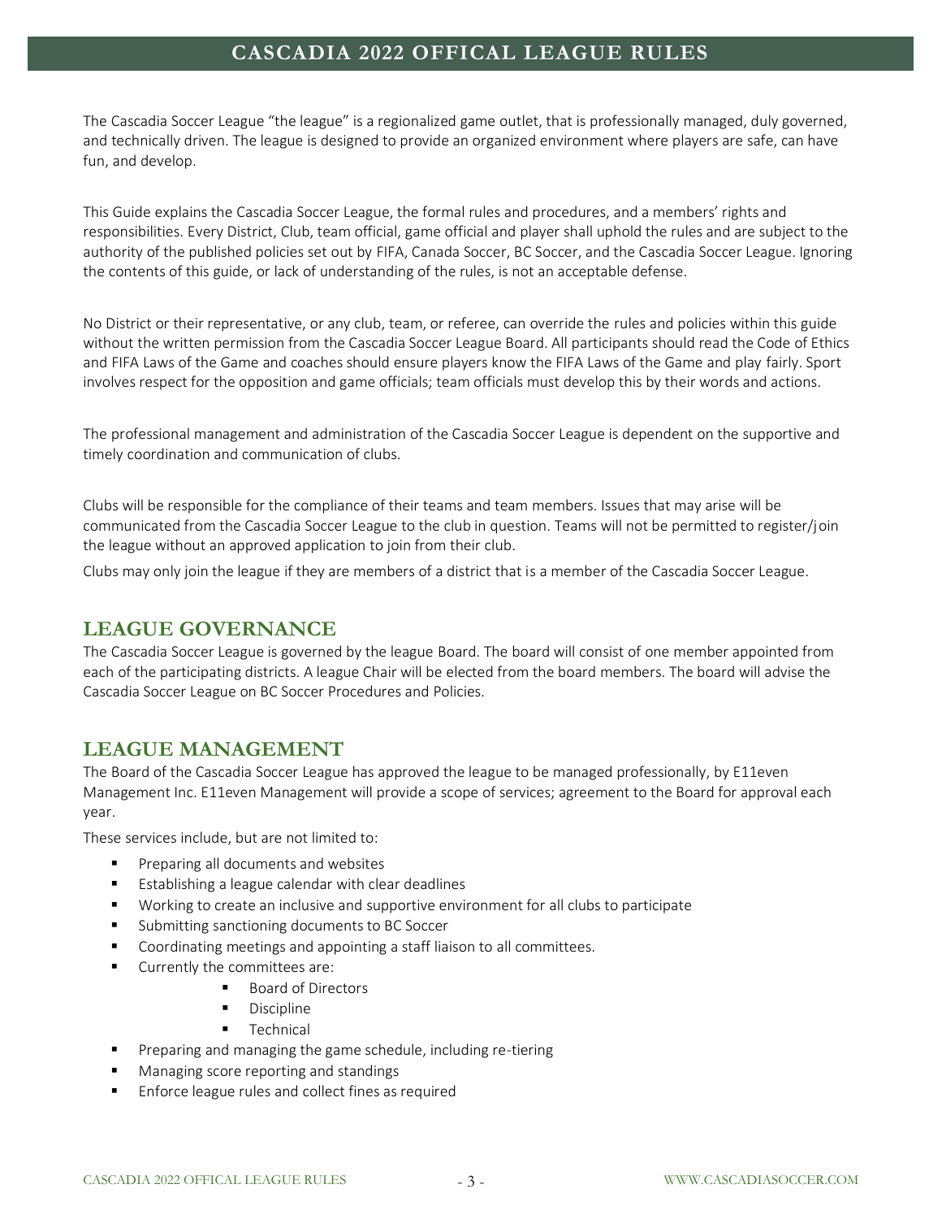The Cascadia Soccer League "the league" is a regionalized game outlet, that is professionally managed, duly governed, and technically driven. The league is designed to provide an organized environment where players are safe, can have fun, and develop.

This Guide explains the Cascadia Soccer League, the formal rules and procedures, and a members' rights and responsibilities. Every District, Club, team official, game official and player shall uphold the rules and are subject to the authority of the published policies set out by FIFA, Canada Soccer, BC Soccer, and the Cascadia Soccer League. Ignoring the contents of this guide, or lack of understanding of the rules, is not an acceptable defense.

No District or their representative, or any club, team, or referee, can override the rules and policies within this guide without the written permission from the Cascadia Soccer League Board. All participants should read the Code of Ethics and FIFA Laws of the Game and coaches should ensure players know the FIFA Laws of the Game and play fairly. Sport involves respect for the opposition and game officials; team officials must develop this by their words and actions.

The professional management and administration of the Cascadia Soccer League is dependent on the supportive and timely coordination and communication of clubs.

Clubs will be responsible for the compliance of their teams and team members. Issues that may arise will be communicated from the Cascadia Soccer League to the club in question. Teams will not be permitted to register/join the league without an approved application to join from their club.

<span id="page-2-0"></span>Clubs may only join the league if they are members of a district that is a member of the Cascadia Soccer League.

## **LEAGUE GOVERNANCE**

The Cascadia Soccer League is governed by the league Board. The board will consist of one member appointed from each of the participating districts. A league Chair will be elected from the board members. The board will advise the Cascadia Soccer League on BC Soccer Procedures and Policies.

## <span id="page-2-1"></span>**LEAGUE MANAGEMENT**

The Board of the Cascadia Soccer League has approved the league to be managed professionally, by E11even Management Inc. E11even Management will provide a scope of services; agreement to the Board for approval each year.

These services include, but are not limited to:

- Preparing all documents and websites
- Establishing a league calendar with clear deadlines
- Working to create an inclusive and supportive environment for all clubs to participate
- Submitting sanctioning documents to BC Soccer
- Coordinating meetings and appointing a staff liaison to all committees.
- Currently the committees are:
	- Board of Directors
	- **Discipline**
	- Technical
- Preparing and managing the game schedule, including re-tiering
- Managing score reporting and standings
- Enforce league rules and collect fines as required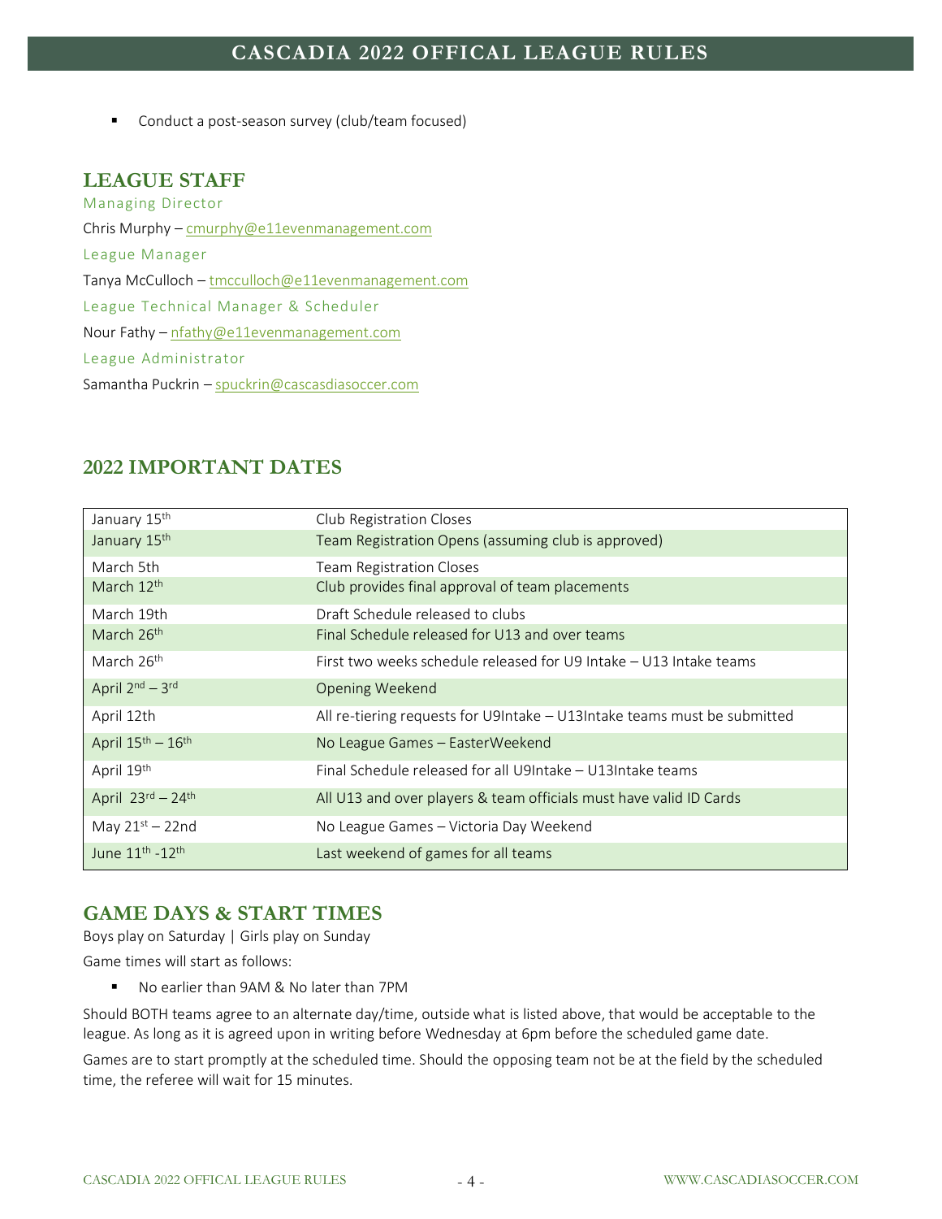■ Conduct a post-season survey (club/team focused)

#### <span id="page-3-0"></span>**LEAGUE STAFF**

Managing Director Chris Murphy – [cmurphy@e11evenmanagement.com](mailto:cmurphy@e11evenmanagement.com) League Manager Tanya McCulloch – [tmcculloch@e11evenmanagement.com](mailto:tmcculloch@e11evenmanagement.com) League Technical Manager & Scheduler Nour Fathy – [nfathy@e11evenmanagement.com](mailto:nfathy@e11evenmanagement.com) League Administrator Samantha Puckrin – [spuckrin@cascasdiasoccer.com](mailto:spuckrin@cascasdiasoccer.com)

| January 15th                            | Club Registration Closes                                                 |
|-----------------------------------------|--------------------------------------------------------------------------|
| January 15th                            | Team Registration Opens (assuming club is approved)                      |
| March 5th                               | <b>Team Registration Closes</b>                                          |
| March 12th                              | Club provides final approval of team placements                          |
| March 19th                              | Draft Schedule released to clubs                                         |
| March 26th                              | Final Schedule released for U13 and over teams                           |
| March 26 <sup>th</sup>                  | First two weeks schedule released for U9 Intake – U13 Intake teams       |
| April 2nd - 3rd                         | Opening Weekend                                                          |
| April 12th                              | All re-tiering requests for U9Intake - U13Intake teams must be submitted |
| April $15^{\text{th}} - 16^{\text{th}}$ | No League Games – Easter Weekend                                         |
| April 19th                              | Final Schedule released for all U9Intake - U13Intake teams               |
| April $23^{\text{rd}} - 24^{\text{th}}$ | All U13 and over players & team officials must have valid ID Cards       |
| May $21st - 22nd$                       | No League Games - Victoria Day Weekend                                   |
| June 11 <sup>th</sup> -12 <sup>th</sup> | Last weekend of games for all teams                                      |

## <span id="page-3-1"></span>**2022 IMPORTANT DATES**

## <span id="page-3-2"></span>**GAME DAYS & START TIMES**

Boys play on Saturday | Girls play on Sunday

Game times will start as follows:

■ No earlier than 9AM & No later than 7PM

Should BOTH teams agree to an alternate day/time, outside what is listed above, that would be acceptable to the league. As long as it is agreed upon in writing before Wednesday at 6pm before the scheduled game date.

Games are to start promptly at the scheduled time. Should the opposing team not be at the field by the scheduled time, the referee will wait for 15 minutes.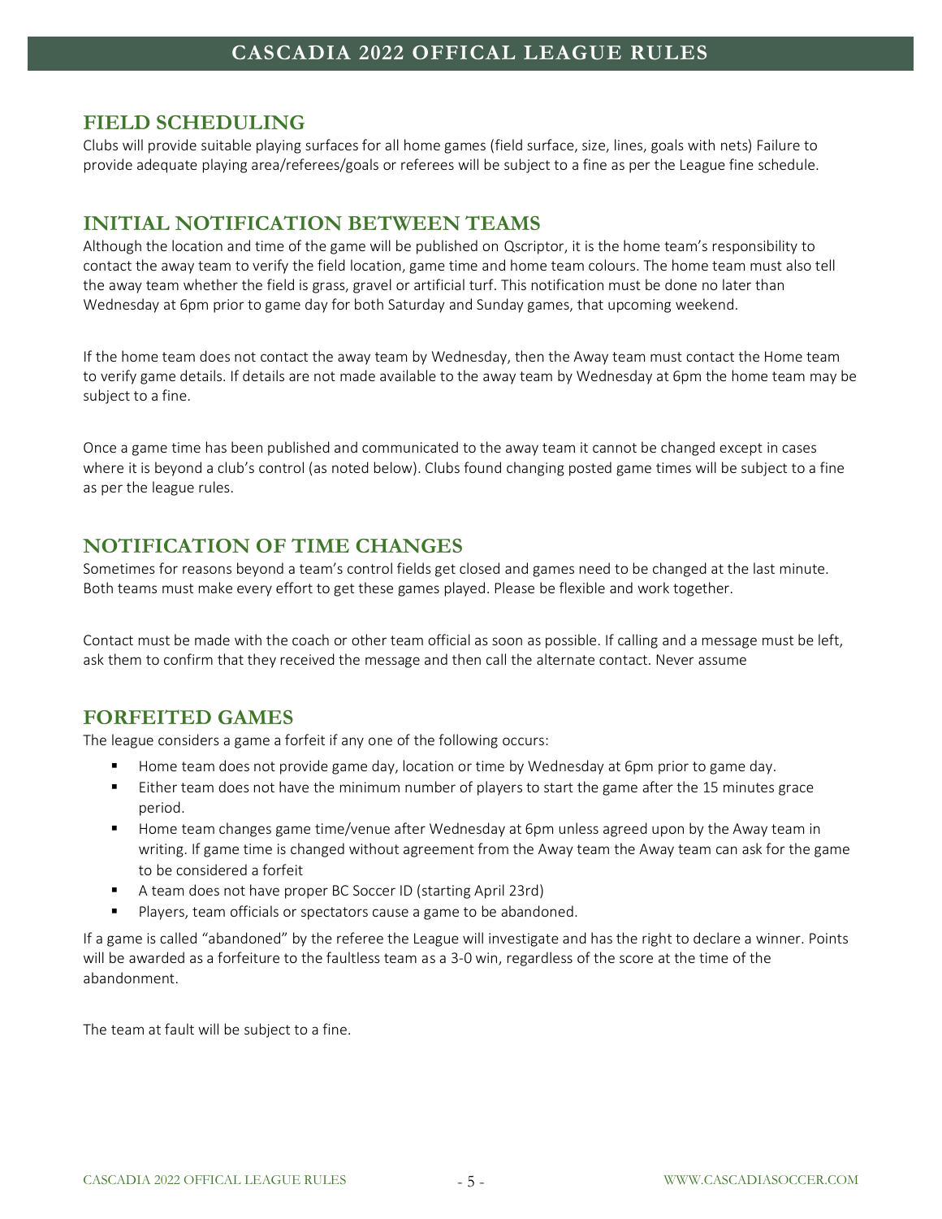#### <span id="page-4-0"></span>**FIELD SCHEDULING**

Clubs will provide suitable playing surfaces for all home games (field surface, size, lines, goals with nets) Failure to provide adequate playing area/referees/goals or referees will be subject to a fine as per the League fine schedule.

## <span id="page-4-1"></span>**INITIAL NOTIFICATION BETWEEN TEAMS**

Although the location and time of the game will be published on Qscriptor, it is the home team's responsibility to contact the away team to verify the field location, game time and home team colours. The home team must also tell the away team whether the field is grass, gravel or artificial turf. This notification must be done no later than Wednesday at 6pm prior to game day for both Saturday and Sunday games, that upcoming weekend.

If the home team does not contact the away team by Wednesday, then the Away team must contact the Home team to verify game details. If details are not made available to the away team by Wednesday at 6pm the home team may be subject to a fine.

Once a game time has been published and communicated to the away team it cannot be changed except in cases where it is beyond a club's control (as noted below). Clubs found changing posted game times will be subject to a fine as per the league rules.

## <span id="page-4-2"></span>**NOTIFICATION OF TIME CHANGES**

Sometimes for reasons beyond a team's control fields get closed and games need to be changed at the last minute. Both teams must make every effort to get these games played. Please be flexible and work together.

Contact must be made with the coach or other team official as soon as possible. If calling and a message must be left, ask them to confirm that they received the message and then call the alternate contact. Never assume

# <span id="page-4-3"></span>**FORFEITED GAMES**

The league considers a game a forfeit if any one of the following occurs:

- Home team does not provide game day, location or time by Wednesday at 6pm prior to game day.
- Either team does not have the minimum number of players to start the game after the 15 minutes grace period.
- Home team changes game time/venue after Wednesday at 6pm unless agreed upon by the Away team in writing. If game time is changed without agreement from the Away team the Away team can ask for the game to be considered a forfeit
- A team does not have proper BC Soccer ID (starting April 23rd)
- Players, team officials or spectators cause a game to be abandoned.

If a game is called "abandoned" by the referee the League will investigate and has the right to declare a winner. Points will be awarded as a forfeiture to the faultless team as a 3-0 win, regardless of the score at the time of the abandonment.

The team at fault will be subject to a fine.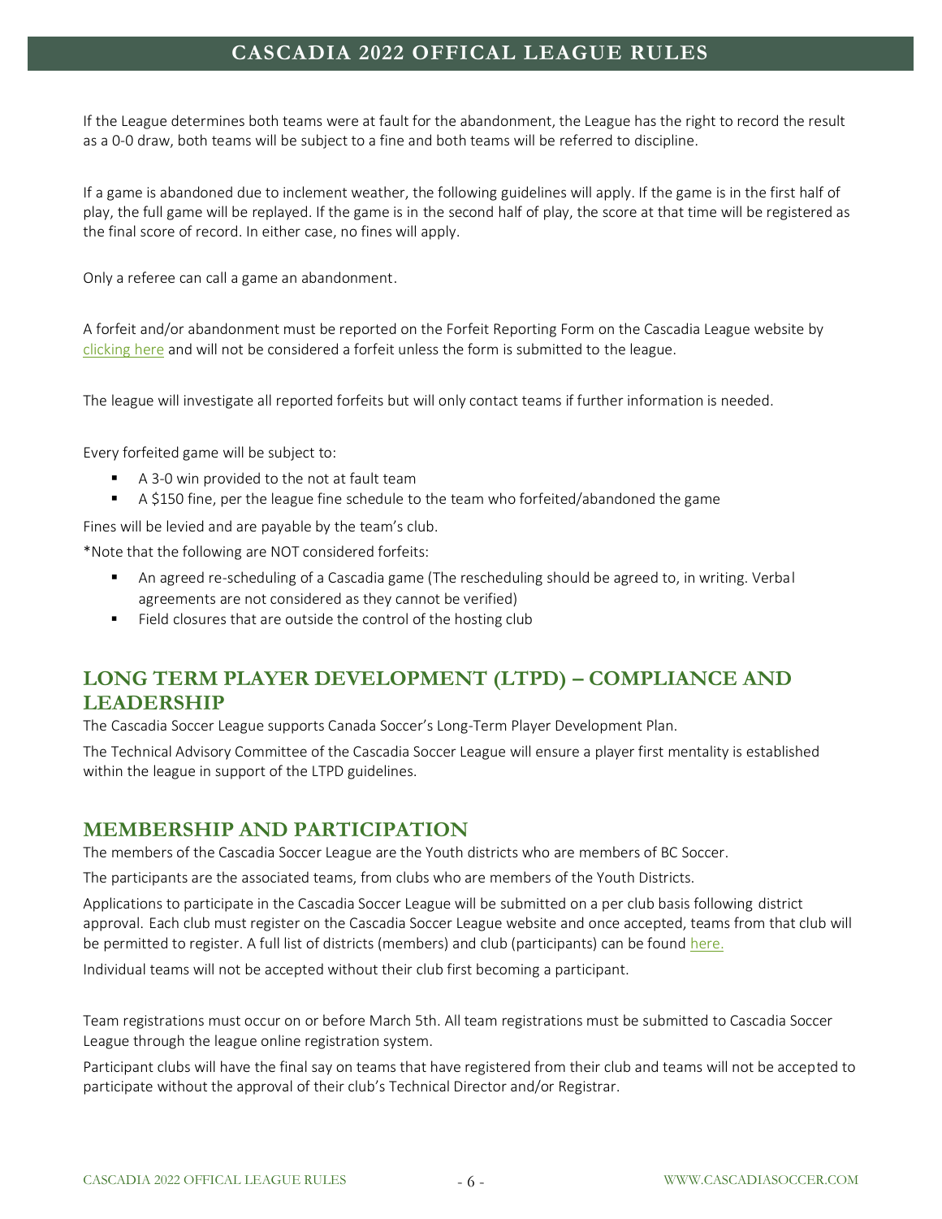If the League determines both teams were at fault for the abandonment, the League has the right to record the result as a 0-0 draw, both teams will be subject to a fine and both teams will be referred to discipline.

If a game is abandoned due to inclement weather, the following guidelines will apply. If the game is in the first half of play, the full game will be replayed. If the game is in the second half of play, the score at that time will be registered as the final score of record. In either case, no fines will apply.

Only a referee can call a game an abandonment.

A forfeit and/or abandonment must be reported on the Forfeit Reporting Form on the Cascadia League website by [clicking here](https://www.cascadiasoccer.com/report-a-forfeit) and will not be considered a forfeit unless the form is submitted to the league.

The league will investigate all reported forfeits but will only contact teams if further information is needed.

Every forfeited game will be subject to:

- A 3-0 win provided to the not at fault team
- A \$150 fine, per the league fine schedule to the team who forfeited/abandoned the game

Fines will be levied and are payable by the team's club.

\*Note that the following are NOT considered forfeits:

- An agreed re-scheduling of a Cascadia game (The rescheduling should be agreed to, in writing. Verbal agreements are not considered as they cannot be verified)
- Field closures that are outside the control of the hosting club

# <span id="page-5-0"></span>**LONG TERM PLAYER DEVELOPMENT (LTPD) – COMPLIANCE AND LEADERSHIP**

The Cascadia Soccer League supports Canada Soccer's Long-Term Player Development Plan.

The Technical Advisory Committee of the Cascadia Soccer League will ensure a player first mentality is established within the league in support of the LTPD guidelines.

#### <span id="page-5-1"></span>**MEMBERSHIP AND PARTICIPATION**

The members of the Cascadia Soccer League are the Youth districts who are members of BC Soccer.

The participants are the associated teams, from clubs who are members of the Youth Districts.

Applications to participate in the Cascadia Soccer League will be submitted on a per club basis following district approval. Each club must register on the Cascadia Soccer League website and once accepted, teams from that club will be permitted to register. A full list of districts (members) and club (participants) can be foun[d here.](https://www.cascadiasoccer.com/current-members)

Individual teams will not be accepted without their club first becoming a participant.

Team registrations must occur on or before March 5th. All team registrations must be submitted to Cascadia Soccer League through the league online registration system.

Participant clubs will have the final say on teams that have registered from their club and teams will not be accepted to participate without the approval of their club's Technical Director and/or Registrar.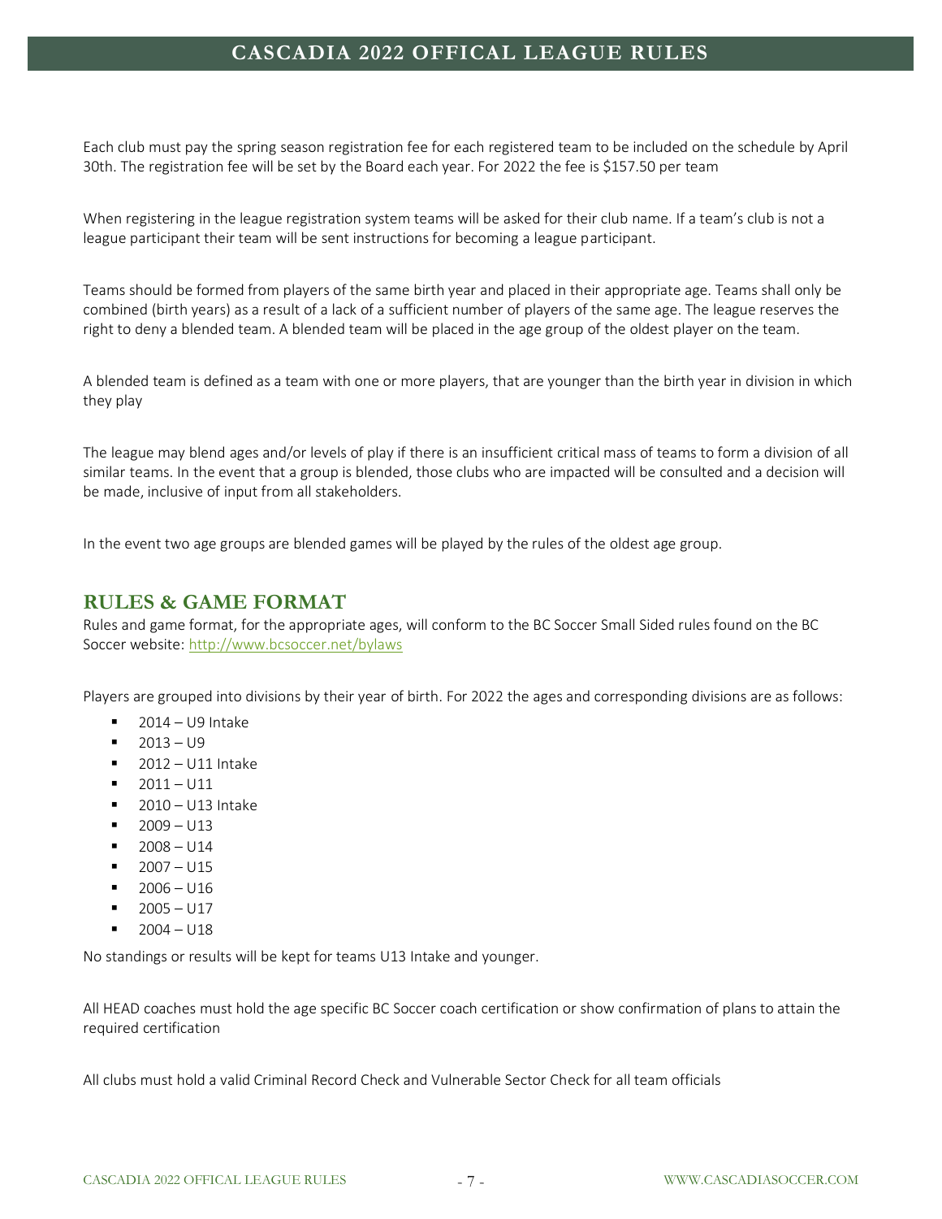Each club must pay the spring season registration fee for each registered team to be included on the schedule by April 30th. The registration fee will be set by the Board each year. For 2022 the fee is \$157.50 per team

When registering in the league registration system teams will be asked for their club name. If a team's club is not a league participant their team will be sent instructions for becoming a league participant.

Teams should be formed from players of the same birth year and placed in their appropriate age. Teams shall only be combined (birth years) as a result of a lack of a sufficient number of players of the same age. The league reserves the right to deny a blended team. A blended team will be placed in the age group of the oldest player on the team.

A blended team is defined as a team with one or more players, that are younger than the birth year in division in which they play

The league may blend ages and/or levels of play if there is an insufficient critical mass of teams to form a division of all similar teams. In the event that a group is blended, those clubs who are impacted will be consulted and a decision will be made, inclusive of input from all stakeholders.

<span id="page-6-0"></span>In the event two age groups are blended games will be played by the rules of the oldest age group.

#### **RULES & GAME FORMAT**

Rules and game format, for the appropriate ages, will conform to the BC Soccer Small Sided rules found on the BC Soccer website[: http://www.bcsoccer.net/bylaws](http://www.bcsoccer.net/bylaws)

Players are grouped into divisions by their year of birth. For 2022 the ages and corresponding divisions are as follows:

- $\blacksquare$  2014 U9 Intake
- $-2013 U9$
- $\blacksquare$  2012 U11 Intake
- $\blacksquare$  2011 U11
- 2010 U13 Intake
- $2009 113$
- $2008 014$
- $2007 1115$
- $1006 016$
- $-2005 U17$
- $\blacksquare$  2004 U18

No standings or results will be kept for teams U13 Intake and younger.

All HEAD coaches must hold the age specific BC Soccer coach certification or show confirmation of plans to attain the required certification

All clubs must hold a valid Criminal Record Check and Vulnerable Sector Check for all team officials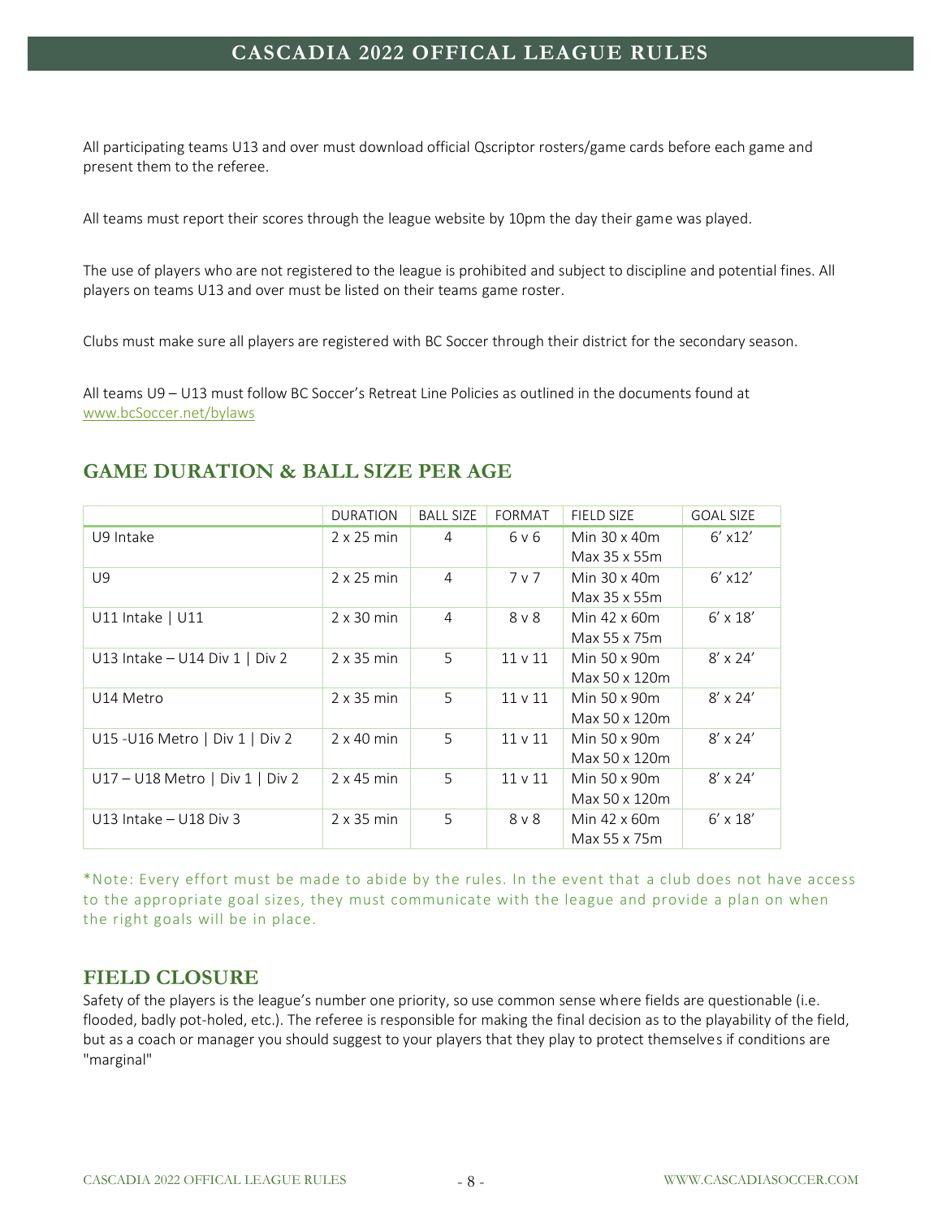All participating teams U13 and over must download official Qscriptor rosters/game cards before each game and present them to the referee.

All teams must report their scores through the league website by 10pm the day their game was played.

The use of players who are not registered to the league is prohibited and subject to discipline and potential fines. All players on teams U13 and over must be listed on their teams game roster.

Clubs must make sure all players are registered with BC Soccer through their district for the secondary season.

All teams U9 – U13 must follow BC Soccer's Retreat Line Policies as outlined in the documents found at [www.bcSoccer.net/bylaws](https://www.bcsoccer.net/bylaws)

#### <span id="page-7-0"></span>**GAME DURATION & BALL SIZE PER AGE**

|                                   | <b>DURATION</b>   | <b>BALL SIZE</b> | <b>FORMAT</b> | <b>FIELD SIZE</b>   | <b>GOAL SIZE</b> |
|-----------------------------------|-------------------|------------------|---------------|---------------------|------------------|
| U9 Intake                         | $2 \times 25$ min | 4                | 6 v 6         | Min 30 x 40m        | $6'$ x12'        |
|                                   |                   |                  |               | Max 35 x 55m        |                  |
| U9                                | $2 \times 25$ min | 4                | 7 v 7         | Min $30 \times 40m$ | $6'$ x12'        |
|                                   |                   |                  |               | Max 35 x 55m        |                  |
| $U11$ Intake   $U11$              | $2 \times 30$ min | $\overline{4}$   | $8V$ 8        | Min 42 x 60m        | $6' \times 18'$  |
|                                   |                   |                  |               | Max 55 x 75m        |                  |
| U13 Intake $-$ U14 Div 1   Div 2  | $2 \times 35$ min | 5                | $11 \vee 11$  | Min 50 x 90m        | $8' \times 24'$  |
|                                   |                   |                  |               | Max 50 x 120m       |                  |
| U14 Metro                         | $2 \times 35$ min | 5                | 11 v 11       | Min 50 x 90m        | $8' \times 24'$  |
|                                   |                   |                  |               | Max 50 x 120m       |                  |
| U15 - U16 Metro   Div 1   Div 2   | $2 \times 40$ min | 5                | $11 \vee 11$  | Min 50 x 90m        | $8' \times 24'$  |
|                                   |                   |                  |               | Max 50 x 120m       |                  |
| $U17 - U18$ Metro   Div 1   Div 2 | $2 \times 45$ min | 5                | $11 \vee 11$  | Min 50 x 90m        | $8' \times 24'$  |
|                                   |                   |                  |               | Max 50 x 120m       |                  |
| U13 Intake $-$ U18 Div 3          | $2 \times 35$ min | 5                | $8V$ $8V$     | Min 42 x 60m        | $6' \times 18'$  |
|                                   |                   |                  |               | Max 55 x 75m        |                  |

\*Note: Every effort must be made to abide by the rules. In the event that a club does not have access to the appropriate goal sizes, they must communicate with the league and provide a plan on when the right goals will be in place.

#### <span id="page-7-1"></span>**FIELD CLOSURE**

Safety of the players is the league's number one priority, so use common sense where fields are questionable (i.e. flooded, badly pot-holed, etc.). The referee is responsible for making the final decision as to the playability of the field, but as a coach or manager you should suggest to your players that they play to protect themselves if conditions are "marginal"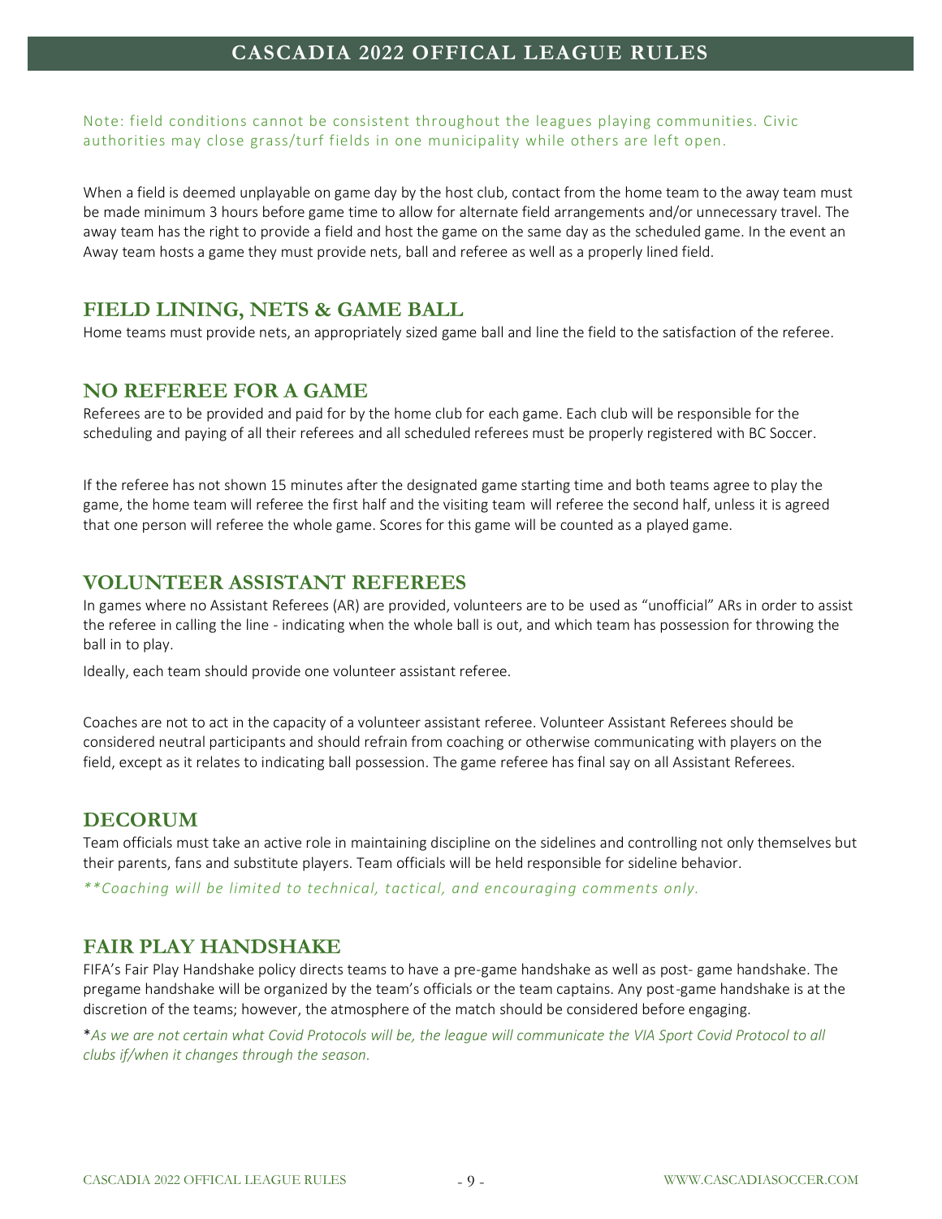Note: field conditions cannot be consistent throughout the leagues playing communities. Civic authorities may close grass/turf fields in one municipality while others are left open.

When a field is deemed unplayable on game day by the host club, contact from the home team to the away team must be made minimum 3 hours before game time to allow for alternate field arrangements and/or unnecessary travel. The away team has the right to provide a field and host the game on the same day as the scheduled game. In the event an Away team hosts a game they must provide nets, ball and referee as well as a properly lined field.

## <span id="page-8-0"></span>**FIELD LINING, NETS & GAME BALL**

<span id="page-8-1"></span>Home teams must provide nets, an appropriately sized game ball and line the field to the satisfaction of the referee.

#### **NO REFEREE FOR A GAME**

Referees are to be provided and paid for by the home club for each game. Each club will be responsible for the scheduling and paying of all their referees and all scheduled referees must be properly registered with BC Soccer.

If the referee has not shown 15 minutes after the designated game starting time and both teams agree to play the game, the home team will referee the first half and the visiting team will referee the second half, unless it is agreed that one person will referee the whole game. Scores for this game will be counted as a played game.

## <span id="page-8-2"></span>**VOLUNTEER ASSISTANT REFEREES**

In games where no Assistant Referees (AR) are provided, volunteers are to be used as "unofficial" ARs in order to assist the referee in calling the line - indicating when the whole ball is out, and which team has possession for throwing the ball in to play.

Ideally, each team should provide one volunteer assistant referee.

Coaches are not to act in the capacity of a volunteer assistant referee. Volunteer Assistant Referees should be considered neutral participants and should refrain from coaching or otherwise communicating with players on the field, except as it relates to indicating ball possession. The game referee has final say on all Assistant Referees.

## <span id="page-8-3"></span>**DECORUM**

Team officials must take an active role in maintaining discipline on the sidelines and controlling not only themselves but their parents, fans and substitute players. Team officials will be held responsible for sideline behavior.

<span id="page-8-4"></span>*\*\*Coaching will be limited to technical, tactical, and encouraging comments only.*

## **FAIR PLAY HANDSHAKE**

FIFA's Fair Play Handshake policy directs teams to have a pre-game handshake as well as post- game handshake. The pregame handshake will be organized by the team's officials or the team captains. Any post-game handshake is at the discretion of the teams; however, the atmosphere of the match should be considered before engaging.

\**As we are not certain what Covid Protocols will be, the league will communicate the VIA Sport Covid Protocol to all clubs if/when it changes through the season.*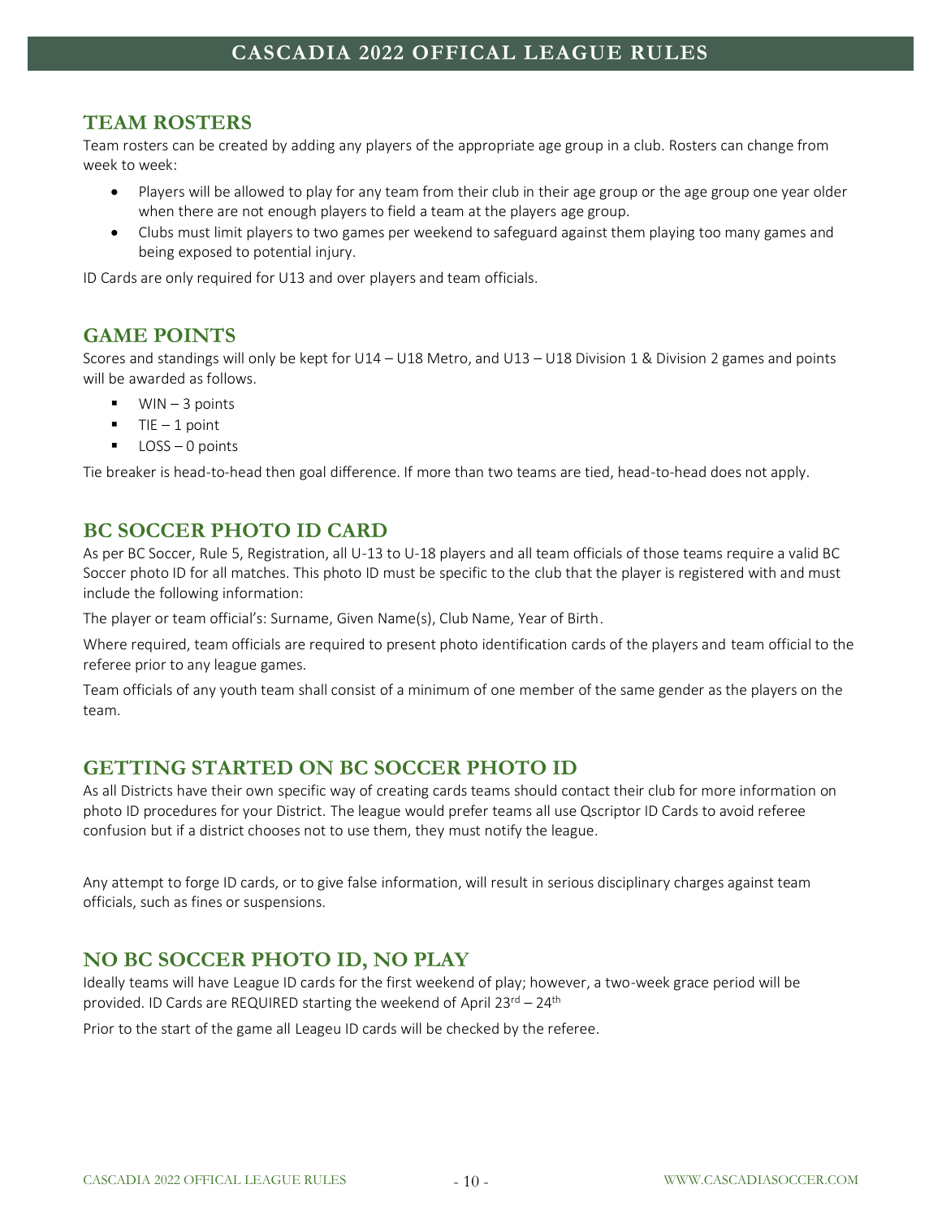## <span id="page-9-0"></span>**TEAM ROSTERS**

Team rosters can be created by adding any players of the appropriate age group in a club. Rosters can change from week to week:

- Players will be allowed to play for any team from their club in their age group or the age group one year older when there are not enough players to field a team at the players age group.
- Clubs must limit players to two games per weekend to safeguard against them playing too many games and being exposed to potential injury.

<span id="page-9-1"></span>ID Cards are only required for U13 and over players and team officials.

## **GAME POINTS**

Scores and standings will only be kept for U14 – U18 Metro, and U13 – U18 Division 1 & Division 2 games and points will be awarded as follows.

- $\blacksquare$  WIN 3 points
- $TIE 1$  point
- $\blacksquare$  LOSS 0 points

<span id="page-9-2"></span>Tie breaker is head-to-head then goal difference. If more than two teams are tied, head-to-head does not apply.

## **BC SOCCER PHOTO ID CARD**

As per BC Soccer, Rule 5, Registration, all U-13 to U-18 players and all team officials of those teams require a valid BC Soccer photo ID for all matches. This photo ID must be specific to the club that the player is registered with and must include the following information:

The player or team official's: Surname, Given Name(s), Club Name, Year of Birth.

Where required, team officials are required to present photo identification cards of the players and team official to the referee prior to any league games.

Team officials of any youth team shall consist of a minimum of one member of the same gender as the players on the team.

## <span id="page-9-3"></span>**GETTING STARTED ON BC SOCCER PHOTO ID**

As all Districts have their own specific way of creating cards teams should contact their club for more information on photo ID procedures for your District. The league would prefer teams all use Qscriptor ID Cards to avoid referee confusion but if a district chooses not to use them, they must notify the league.

Any attempt to forge ID cards, or to give false information, will result in serious disciplinary charges against team officials, such as fines or suspensions.

## <span id="page-9-4"></span>**NO BC SOCCER PHOTO ID, NO PLAY**

Ideally teams will have League ID cards for the first weekend of play; however, a two-week grace period will be provided. ID Cards are REQUIRED starting the weekend of April 23rd – 24th

Prior to the start of the game all Leageu ID cards will be checked by the referee.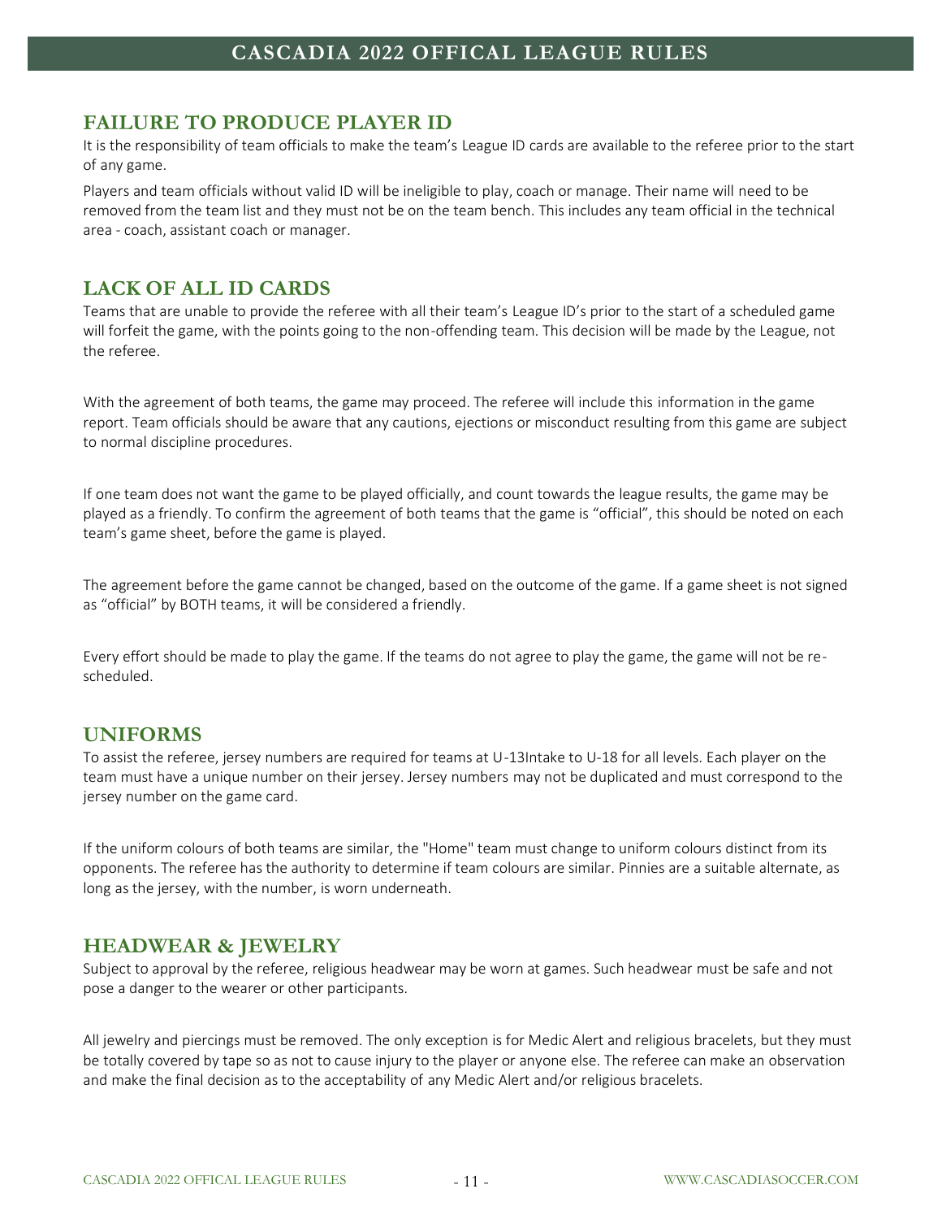#### <span id="page-10-0"></span>**FAILURE TO PRODUCE PLAYER ID**

It is the responsibility of team officials to make the team's League ID cards are available to the referee prior to the start of any game.

Players and team officials without valid ID will be ineligible to play, coach or manage. Their name will need to be removed from the team list and they must not be on the team bench. This includes any team official in the technical area - coach, assistant coach or manager.

## <span id="page-10-1"></span>**LACK OF ALL ID CARDS**

Teams that are unable to provide the referee with all their team's League ID's prior to the start of a scheduled game will forfeit the game, with the points going to the non-offending team. This decision will be made by the League, not the referee.

With the agreement of both teams, the game may proceed. The referee will include this information in the game report. Team officials should be aware that any cautions, ejections or misconduct resulting from this game are subject to normal discipline procedures.

If one team does not want the game to be played officially, and count towards the league results, the game may be played as a friendly. To confirm the agreement of both teams that the game is "official", this should be noted on each team's game sheet, before the game is played.

The agreement before the game cannot be changed, based on the outcome of the game. If a game sheet is not signed as "official" by BOTH teams, it will be considered a friendly.

Every effort should be made to play the game. If the teams do not agree to play the game, the game will not be rescheduled.

## <span id="page-10-2"></span>**UNIFORMS**

To assist the referee, jersey numbers are required for teams at U-13Intake to U-18 for all levels. Each player on the team must have a unique number on their jersey. Jersey numbers may not be duplicated and must correspond to the jersey number on the game card.

If the uniform colours of both teams are similar, the "Home" team must change to uniform colours distinct from its opponents. The referee has the authority to determine if team colours are similar. Pinnies are a suitable alternate, as long as the jersey, with the number, is worn underneath.

#### <span id="page-10-3"></span>**HEADWEAR & JEWELRY**

Subject to approval by the referee, religious headwear may be worn at games. Such headwear must be safe and not pose a danger to the wearer or other participants.

All jewelry and piercings must be removed. The only exception is for Medic Alert and religious bracelets, but they must be totally covered by tape so as not to cause injury to the player or anyone else. The referee can make an observation and make the final decision as to the acceptability of any Medic Alert and/or religious bracelets.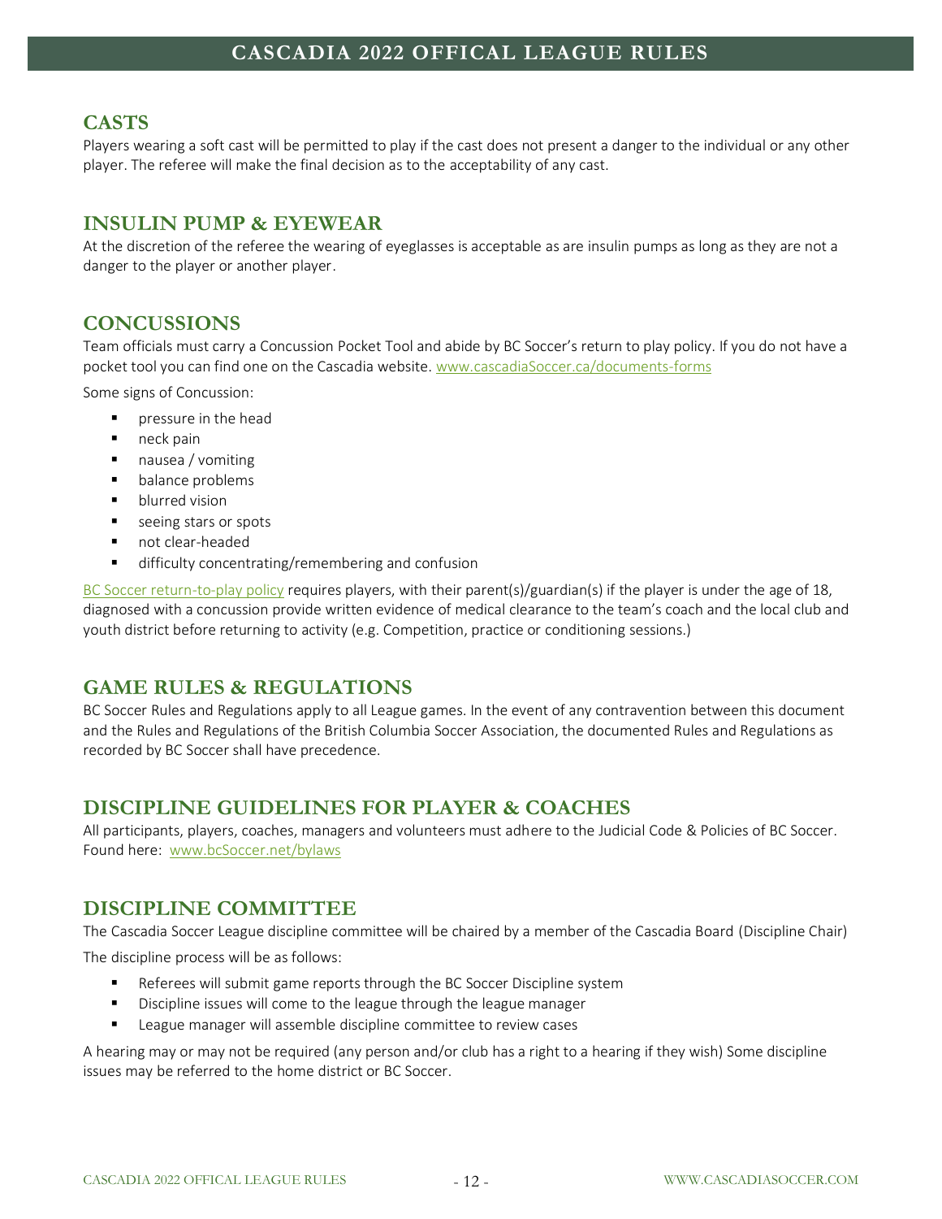# <span id="page-11-0"></span>**CASTS**

Players wearing a soft cast will be permitted to play if the cast does not present a danger to the individual or any other player. The referee will make the final decision as to the acceptability of any cast.

# <span id="page-11-1"></span>**INSULIN PUMP & EYEWEAR**

At the discretion of the referee the wearing of eyeglasses is acceptable as are insulin pumps as long as they are not a danger to the player or another player.

# <span id="page-11-2"></span>**CONCUSSIONS**

Team officials must carry a Concussion Pocket Tool and abide by BC Soccer's return to play policy. If you do not have a pocket tool you can find one on the Cascadia website[. www.cascadiaSoccer.ca/documents-forms](http://www.cascadiasoccer.ca/documents-forms) 

Some signs of Concussion:

- pressure in the head
- neck pain
- nausea / vomiting
- balance problems
- blurred vision
- seeing stars or spots
- not clear-headed
- difficulty concentrating/remembering and confusion

[BC Soccer return-to-play policy](https://www.bcsoccer.net/files/ArticleDocuments/Concussion%20Policy.pdf) requires players, with their parent(s)/guardian(s) if the player is under the age of 18, diagnosed with a concussion provide written evidence of medical clearance to the team's coach and the local club and youth district before returning to activity (e.g. Competition, practice or conditioning sessions.)

## <span id="page-11-3"></span>**GAME RULES & REGULATIONS**

BC Soccer Rules and Regulations apply to all League games. In the event of any contravention between this document and the Rules and Regulations of the British Columbia Soccer Association, the documented Rules and Regulations as recorded by BC Soccer shall have precedence.

## <span id="page-11-4"></span>**DISCIPLINE GUIDELINES FOR PLAYER & COACHES**

All participants, players, coaches, managers and volunteers must adhere to the Judicial Code & Policies of BC Soccer. Found here: [www.bcSoccer.net/bylaws](http://www.bcsoccer.net/bylaws)

# <span id="page-11-5"></span>**DISCIPLINE COMMITTEE**

The Cascadia Soccer League discipline committee will be chaired by a member of the Cascadia Board (Discipline Chair) The discipline process will be as follows:

- Referees will submit game reports through the BC Soccer Discipline system
- Discipline issues will come to the league through the league manager
- League manager will assemble discipline committee to review cases

A hearing may or may not be required (any person and/or club has a right to a hearing if they wish) Some discipline issues may be referred to the home district or BC Soccer.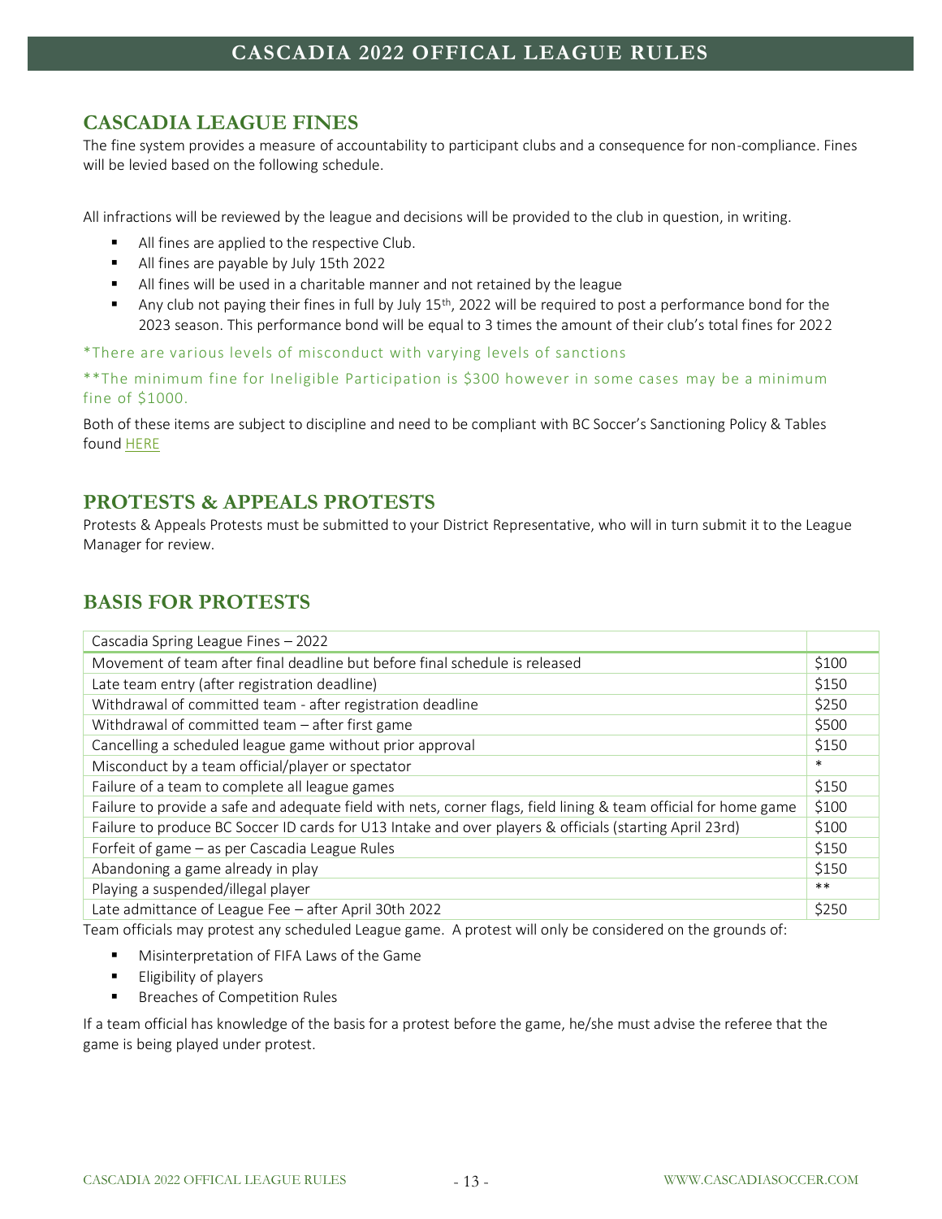# <span id="page-12-0"></span>**CASCADIA LEAGUE FINES**

The fine system provides a measure of accountability to participant clubs and a consequence for non-compliance. Fines will be levied based on the following schedule.

All infractions will be reviewed by the league and decisions will be provided to the club in question, in writing.

- All fines are applied to the respective Club.
- All fines are payable by July 15th 2022
- All fines will be used in a charitable manner and not retained by the league
- **•** Any club not paying their fines in full by July  $15<sup>th</sup>$ , 2022 will be required to post a performance bond for the 2023 season. This performance bond will be equal to 3 times the amount of their club's total fines for 2022

\*There are various levels of misconduct with varying levels of sanctions

\*\*The minimum fine for Ineligible Participation is \$300 however in some cases may be a minimum fine of \$1000.

Both of these items are subject to discipline and need to be compliant with BC Soccer's Sanctioning Policy & Tables foun[d HERE](https://bcsoccer.net/files/AboutUs/BylawsRulesRegsPolicies/judicial_code_and_policies_of_bc_soccer_20190923.pdf)

## <span id="page-12-1"></span>**PROTESTS & APPEALS PROTESTS**

Protests & Appeals Protests must be submitted to your District Representative, who will in turn submit it to the League Manager for review.

# <span id="page-12-2"></span>**BASIS FOR PROTESTS**

| Cascadia Spring League Fines - 2022                                                                              |        |
|------------------------------------------------------------------------------------------------------------------|--------|
| Movement of team after final deadline but before final schedule is released                                      | \$100  |
| Late team entry (after registration deadline)                                                                    | \$150  |
| Withdrawal of committed team - after registration deadline                                                       | \$250  |
| Withdrawal of committed team - after first game                                                                  | \$500  |
| Cancelling a scheduled league game without prior approval                                                        | \$150  |
| Misconduct by a team official/player or spectator                                                                | $\ast$ |
| Failure of a team to complete all league games                                                                   | \$150  |
| Failure to provide a safe and adequate field with nets, corner flags, field lining & team official for home game | \$100  |
| Failure to produce BC Soccer ID cards for U13 Intake and over players & officials (starting April 23rd)          | \$100  |
| Forfeit of game - as per Cascadia League Rules                                                                   | \$150  |
| Abandoning a game already in play                                                                                | \$150  |
| Playing a suspended/illegal player                                                                               | $***$  |
| Late admittance of League Fee - after April 30th 2022                                                            | \$250  |

Team officials may protest any scheduled League game. A protest will only be considered on the grounds of:

- Misinterpretation of FIFA Laws of the Game
- **Eligibility of players**
- Breaches of Competition Rules

If a team official has knowledge of the basis for a protest before the game, he/she must advise the referee that the game is being played under protest.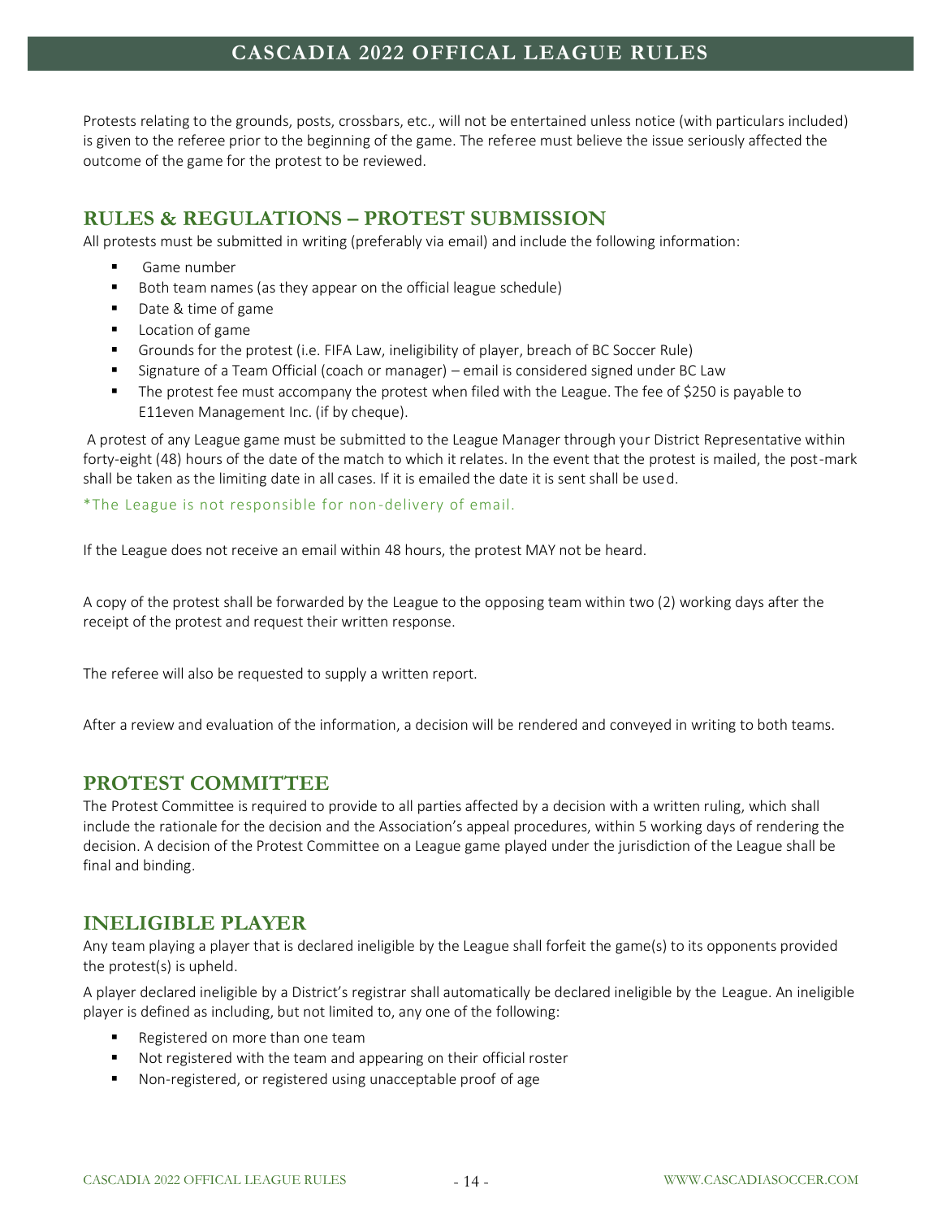Protests relating to the grounds, posts, crossbars, etc., will not be entertained unless notice (with particulars included) is given to the referee prior to the beginning of the game. The referee must believe the issue seriously affected the outcome of the game for the protest to be reviewed.

## <span id="page-13-0"></span>**RULES & REGULATIONS – PROTEST SUBMISSION**

All protests must be submitted in writing (preferably via email) and include the following information:

- Game number
- Both team names (as they appear on the official league schedule)
- Date & time of game
- Location of game
- Grounds for the protest (i.e. FIFA Law, ineligibility of player, breach of BC Soccer Rule)
- Signature of a Team Official (coach or manager) email is considered signed under BC Law
- The protest fee must accompany the protest when filed with the League. The fee of \$250 is payable to E11even Management Inc. (if by cheque).

A protest of any League game must be submitted to the League Manager through your District Representative within forty-eight (48) hours of the date of the match to which it relates. In the event that the protest is mailed, the post-mark shall be taken as the limiting date in all cases. If it is emailed the date it is sent shall be used.

\*The League is not responsible for non-delivery of email.

If the League does not receive an email within 48 hours, the protest MAY not be heard.

A copy of the protest shall be forwarded by the League to the opposing team within two (2) working days after the receipt of the protest and request their written response.

The referee will also be requested to supply a written report.

<span id="page-13-1"></span>After a review and evaluation of the information, a decision will be rendered and conveyed in writing to both teams.

#### **PROTEST COMMITTEE**

The Protest Committee is required to provide to all parties affected by a decision with a written ruling, which shall include the rationale for the decision and the Association's appeal procedures, within 5 working days of rendering the decision. A decision of the Protest Committee on a League game played under the jurisdiction of the League shall be final and binding.

#### <span id="page-13-2"></span>**INELIGIBLE PLAYER**

Any team playing a player that is declared ineligible by the League shall forfeit the game(s) to its opponents provided the protest(s) is upheld.

A player declared ineligible by a District's registrar shall automatically be declared ineligible by the League. An ineligible player is defined as including, but not limited to, any one of the following:

- Registered on more than one team
- Not registered with the team and appearing on their official roster
- Non-registered, or registered using unacceptable proof of age